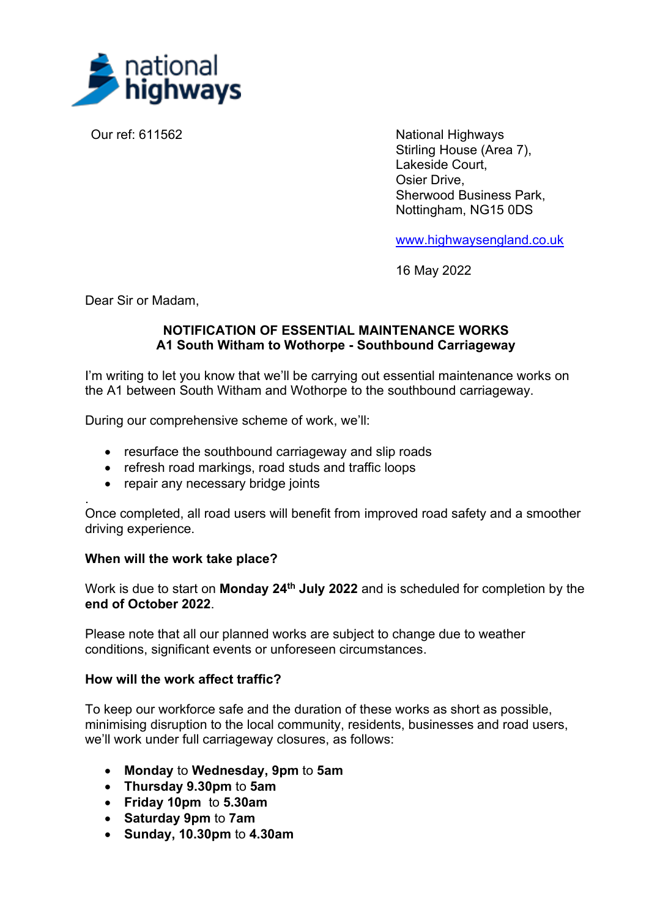

Our ref: 611562 National Highways Stirling House (Area 7), Lakeside Court, Osier Drive, Sherwood Business Park, Nottingham, NG15 0DS

[www.highwaysengland.co.uk](http://www.highwaysengland.co.uk/)

16 May 2022

Dear Sir or Madam,

.

# **NOTIFICATION OF ESSENTIAL MAINTENANCE WORKS A1 South Witham to Wothorpe - Southbound Carriageway**

I'm writing to let you know that we'll be carrying out essential maintenance works on the A1 between South Witham and Wothorpe to the southbound carriageway.

During our comprehensive scheme of work, we'll:

- resurface the southbound carriageway and slip roads
- refresh road markings, road studs and traffic loops
- repair any necessary bridge joints

Once completed, all road users will benefit from improved road safety and a smoother driving experience.

#### **When will the work take place?**

Work is due to start on **Monday 24th July 2022** and is scheduled for completion by the **end of October 2022**.

Please note that all our planned works are subject to change due to weather conditions, significant events or unforeseen circumstances.

## **How will the work affect traffic?**

To keep our workforce safe and the duration of these works as short as possible, minimising disruption to the local community, residents, businesses and road users, we'll work under full carriageway closures, as follows:

- x **Monday** to **Wednesday, 9pm** to **5am**
- x **Thursday 9.30pm** to **5am**
- x **Friday 10pm** to **5.30am**
- x **Saturday 9pm** to **7am**
- x **Sunday, 10.30pm** to **4.30am**